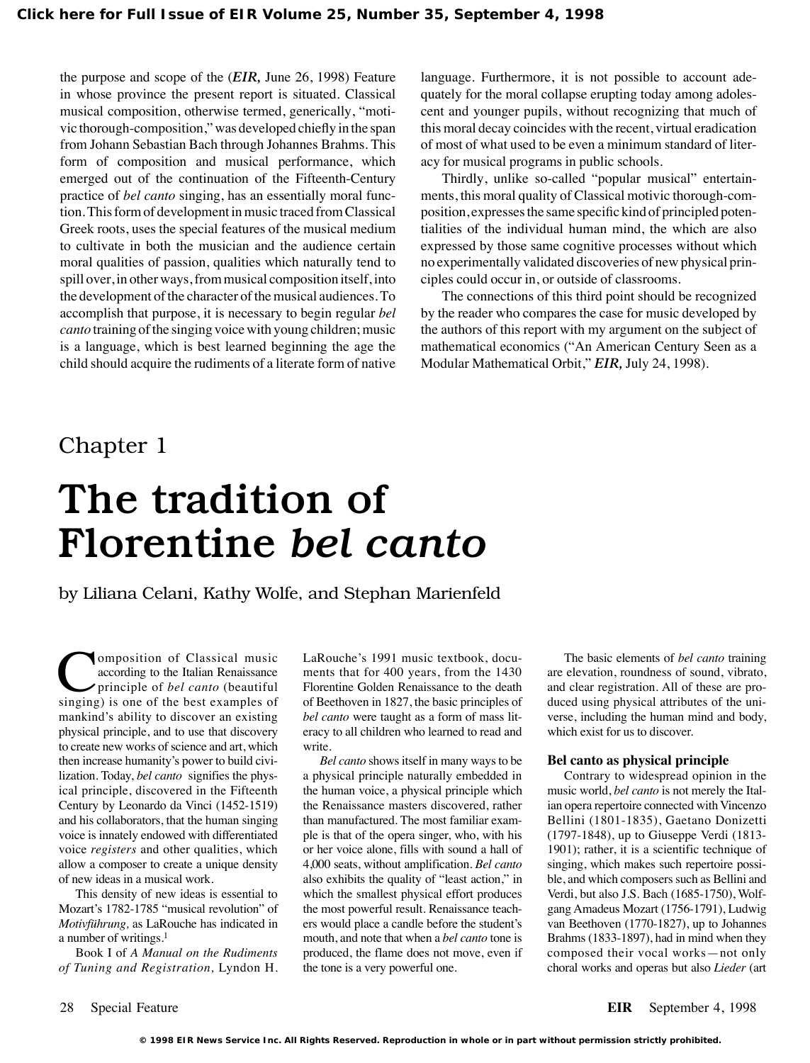the purpose and scope of the (*EIR,* June 26, 1998) Feature in whose province the present report is situated. Classical musical composition, otherwise termed, generically, "motivic thorough-composition," was developed chiefly in the span from Johann Sebastian Bach through Johannes Brahms. This form of composition and musical performance, which emerged out of the continuation of the Fifteenth-Century practice of *bel canto* singing, has an essentially moral function. This form of development in music traced from Classical Greek roots, uses the special features of the musical medium to cultivate in both the musician and the audience certain moral qualities of passion, qualities which naturally tend to spill over, in other ways, from musical composition itself, into the development of the character of the musical audiences. To accomplish that purpose, it is necessary to begin regular *bel canto* training of the singing voice with young children; music is a language, which is best learned beginning the age the child should acquire the rudiments of a literate form of native

language. Furthermore, it is not possible to account adequately for the moral collapse erupting today among adolescent and younger pupils, without recognizing that much of this moral decay coincides with the recent, virtual eradication of most of what used to be even a minimum standard of literacy for musical programs in public schools.

Thirdly, unlike so-called "popular musical" entertainments, this moral quality of Classical motivic thorough-composition, expresses the same specific kind of principled potentialities of the individual human mind, the which are also expressed by those same cognitive processes without which no experimentally validated discoveries of new physical principles could occur in, or outside of classrooms.

The connections of this third point should be recognized by the reader who compares the case for music developed by the authors of this report with my argument on the subject of mathematical economics ("An American Century Seen as a Modular Mathematical Orbit," *EIR,* July 24, 1998).

## Chapter 1

# The tradition of Florentine *bel canto*

by Liliana Celani, Kathy Wolfe, and Stephan Marienfeld

**Composition of Classical music<br>according to the Italian Renaissance**<br>principle of *bel canto* (beautiful<br>singing) is one of the best examples of according to the Italian Renaissance principle of *bel canto* (beautiful singing) is one of the best examples of mankind's ability to discover an existing physical principle, and to use that discovery to create new works of science and art, which then increase humanity's power to build civilization. Today, *bel canto* signifies the physical principle, discovered in the Fifteenth Century by Leonardo da Vinci (1452-1519) and his collaborators, that the human singing voice is innately endowed with differentiated voice *registers* and other qualities, which allow a composer to create a unique density of new ideas in a musical work.

This density of new ideas is essential to Mozart's 1782-1785 "musical revolution" of *Motivführung,* as LaRouche has indicated in a number of writings.<sup>1</sup>

Book I of *A Manual on the Rudiments of Tuning and Registration,* Lyndon H. LaRouche's 1991 music textbook, documents that for 400 years, from the 1430 Florentine Golden Renaissance to the death of Beethoven in 1827, the basic principles of *bel canto* were taught as a form of mass literacy to all children who learned to read and write.

*Bel canto* shows itself in many ways to be a physical principle naturally embedded in the human voice, a physical principle which the Renaissance masters discovered, rather than manufactured. The most familiar example is that of the opera singer, who, with his or her voice alone, fills with sound a hall of 4,000 seats, without amplification. *Bel canto* also exhibits the quality of "least action," in which the smallest physical effort produces the most powerful result. Renaissance teachers would place a candle before the student's mouth, and note that when a *bel canto* tone is produced, the flame does not move, even if the tone is a very powerful one.

The basic elements of *bel canto* training are elevation, roundness of sound, vibrato, and clear registration. All of these are produced using physical attributes of the universe, including the human mind and body, which exist for us to discover.

### **Bel canto as physical principle**

Contrary to widespread opinion in the music world, *bel canto* is not merely the Italian opera repertoire connected with Vincenzo Bellini (1801-1835), Gaetano Donizetti (1797-1848), up to Giuseppe Verdi (1813- 1901); rather, it is a scientific technique of singing, which makes such repertoire possible, and which composers such as Bellini and Verdi, but also J.S. Bach (1685-1750), Wolfgang Amadeus Mozart (1756-1791), Ludwig van Beethoven (1770-1827), up to Johannes Brahms (1833-1897), had in mind when they composed their vocal works—not only choral works and operas but also *Lieder* (art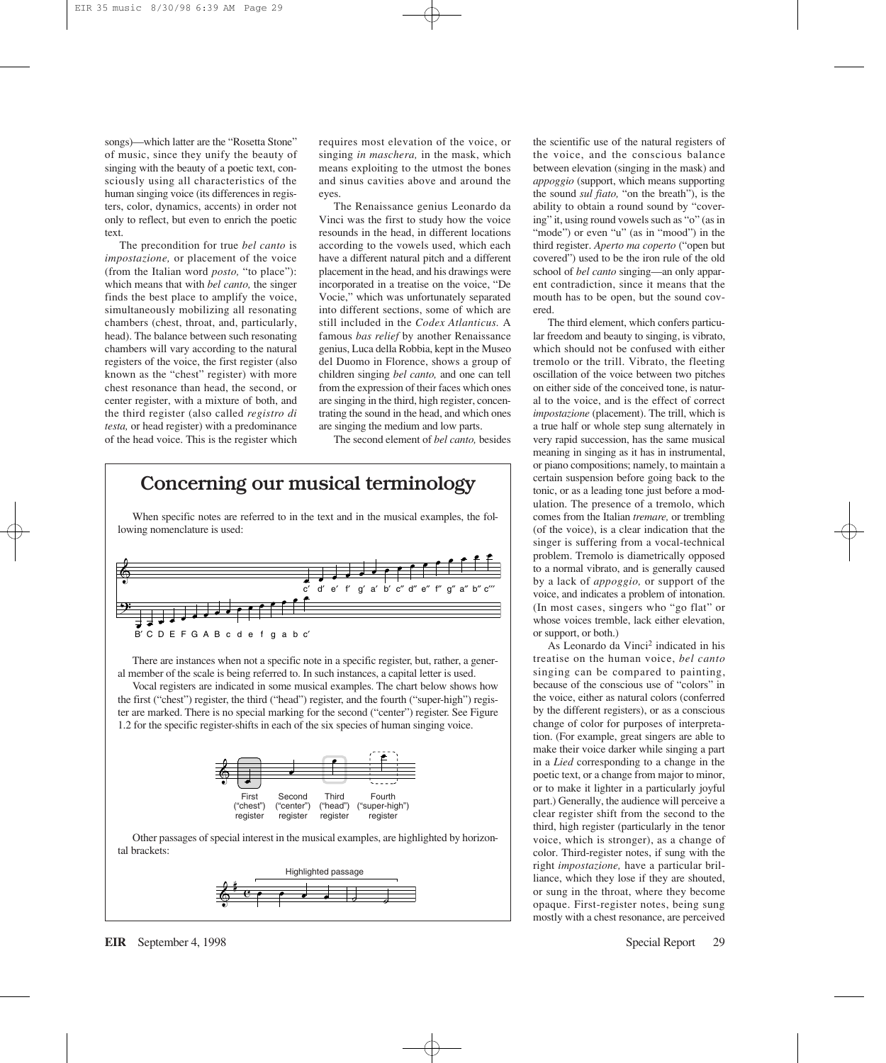songs)—which latter are the "Rosetta Stone" of music, since they unify the beauty of singing with the beauty of a poetic text, consciously using all characteristics of the human singing voice (its differences in registers, color, dynamics, accents) in order not only to reflect, but even to enrich the poetic text.

The precondition for true *bel canto* is *impostazione,* or placement of the voice (from the Italian word *posto,* "to place"): which means that with *bel canto,* the singer finds the best place to amplify the voice, simultaneously mobilizing all resonating chambers (chest, throat, and, particularly, head). The balance between such resonating chambers will vary according to the natural registers of the voice, the first register (also known as the "chest" register) with more chest resonance than head, the second, or center register, with a mixture of both, and the third register (also called *registro di testa,* or head register) with a predominance of the head voice. This is the register which requires most elevation of the voice, or singing *in maschera,* in the mask, which means exploiting to the utmost the bones and sinus cavities above and around the eyes.

The Renaissance genius Leonardo da Vinci was the first to study how the voice resounds in the head, in different locations according to the vowels used, which each have a different natural pitch and a different placement in the head, and his drawings were incorporated in a treatise on the voice, "De Vocie," which was unfortunately separated into different sections, some of which are still included in the *Codex Atlanticus.* A famous *bas relief* by another Renaissance genius, Luca della Robbia, kept in the Museo del Duomo in Florence, shows a group of children singing *bel canto,* and one can tell from the expression of their faces which ones are singing in the third, high register, concentrating the sound in the head, and which ones are singing the medium and low parts.

The second element of *bel canto,* besides

## Concerning our musical terminology

When specific notes are referred to in the text and in the musical examples, the following nomenclature is used:



There are instances when not a specific note in a specific register, but, rather, a general member of the scale is being referred to. In such instances, a capital letter is used.

Vocal registers are indicated in some musical examples. The chart below shows how the first ("chest") register, the third ("head") register, and the fourth ("super-high") register are marked. There is no special marking for the second ("center") register. See Figure 1.2 for the specific register-shifts in each of the six species of human singing voice.



Other passages of special interest in the musical examples, are highlighted by horizontal brackets:



the scientific use of the natural registers of the voice, and the conscious balance between elevation (singing in the mask) and *appoggio* (support, which means supporting the sound *sul fiato,* "on the breath"), is the ability to obtain a round sound by "covering" it, using round vowels such as "o" (as in "mode") or even "u" (as in "mood") in the third register. *Aperto ma coperto* ("open but covered") used to be the iron rule of the old school of *bel canto* singing—an only apparent contradiction, since it means that the mouth has to be open, but the sound covered.

The third element, which confers particular freedom and beauty to singing, is vibrato, which should not be confused with either tremolo or the trill. Vibrato, the fleeting oscillation of the voice between two pitches on either side of the conceived tone, is natural to the voice, and is the effect of correct *impostazione* (placement). The trill, which is a true half or whole step sung alternately in very rapid succession, has the same musical meaning in singing as it has in instrumental, or piano compositions; namely, to maintain a certain suspension before going back to the tonic, or as a leading tone just before a modulation. The presence of a tremolo, which comes from the Italian *tremare,* or trembling (of the voice), is a clear indication that the singer is suffering from a vocal-technical problem. Tremolo is diametrically opposed to a normal vibrato, and is generally caused by a lack of *appoggio,* or support of the voice, and indicates a problem of intonation. (In most cases, singers who "go flat" or whose voices tremble, lack either elevation, or support, or both.)

As Leonardo da Vinci<sup>2</sup> indicated in his treatise on the human voice, *bel canto* singing can be compared to painting, because of the conscious use of "colors" in the voice, either as natural colors (conferred by the different registers), or as a conscious change of color for purposes of interpretation. (For example, great singers are able to make their voice darker while singing a part in a *Lied* corresponding to a change in the poetic text, or a change from major to minor, or to make it lighter in a particularly joyful part.) Generally, the audience will perceive a clear register shift from the second to the third, high register (particularly in the tenor voice, which is stronger), as a change of color. Third-register notes, if sung with the right *impostazione,* have a particular brilliance, which they lose if they are shouted, or sung in the throat, where they become opaque. First-register notes, being sung mostly with a chest resonance, are perceived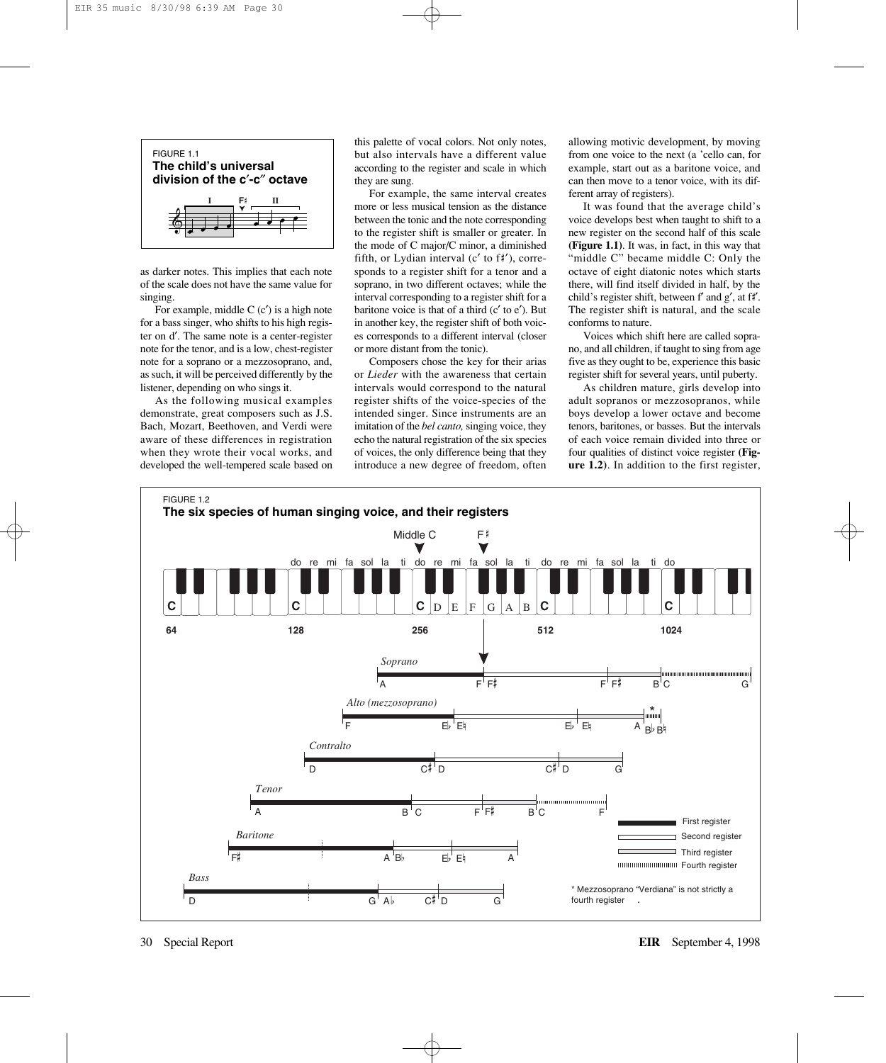

as darker notes. This implies that each note of the scale does not have the same value for singing.

For example, middle  $C$  (c') is a high note for a bass singer, who shifts to his high register on d′. The same note is a center-register note for the tenor, and is a low, chest-register note for a soprano or a mezzosoprano, and, as such, it will be perceived differently by the listener, depending on who sings it.

As the following musical examples demonstrate, great composers such as J.S. Bach, Mozart, Beethoven, and Verdi were aware of these differences in registration when they wrote their vocal works, and developed the well-tempered scale based on this palette of vocal colors. Not only notes, but also intervals have a different value according to the register and scale in which they are sung.

For example, the same interval creates more or less musical tension as the distance between the tonic and the note corresponding to the register shift is smaller or greater. In the mode of C major/C minor, a diminished fifth, or Lydian interval  $(c'$  to  $f\sharp')$ , corresponds to a register shift for a tenor and a soprano, in two different octaves; while the interval corresponding to a register shift for a baritone voice is that of a third (c′ to e′). But in another key, the register shift of both voices corresponds to a different interval (closer or more distant from the tonic).

Composers chose the key for their arias or *Lieder* with the awareness that certain intervals would correspond to the natural register shifts of the voice-species of the intended singer. Since instruments are an imitation of the *bel canto*, singing voice, they echo the natural registration of the six species of voices, the only difference being that they introduce a new degree of freedom, often

allowing motivic development, by moving from one voice to the next (a 'cello can, for example, start out as a baritone voice, and can then move to a tenor voice, with its different array of registers).

It was found that the average child's voice develops best when taught to shift to a new register on the second half of this scale **(Figure 1.1)**. It was, in fact, in this way that "middle C" became middle C: Only the octave of eight diatonic notes which starts there, will find itself divided in half, by the child's register shift, between f' and g', at f#'. The register shift is natural, and the scale conforms to nature.

Voices which shift here are called soprano, and all children, if taught to sing from age five as they ought to be, experience this basic register shift for several years, until puberty.

As children mature, girls develop into adult sopranos or mezzosopranos, while boys develop a lower octave and become tenors, baritones, or basses. But the intervals of each voice remain divided into three or four qualities of distinct voice register **(Figure 1.2)**. In addition to the first register,

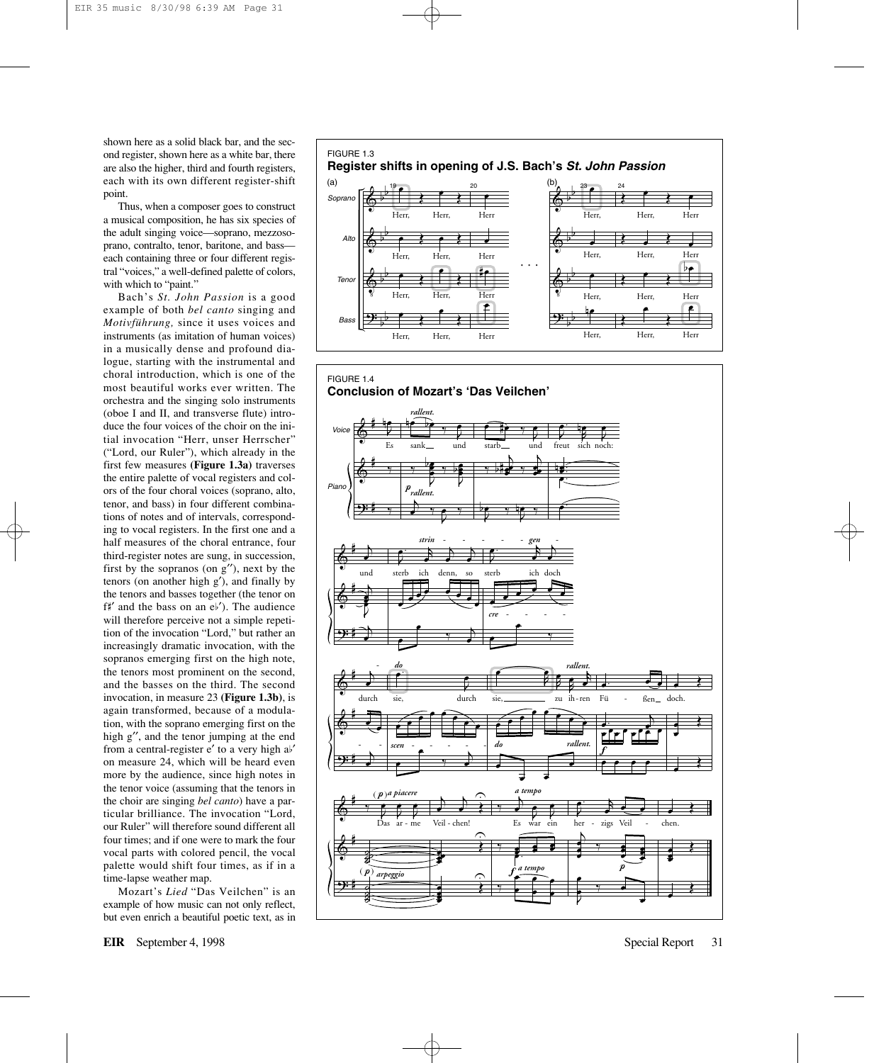shown here as a solid black bar, and the second register, shown here as a white bar, there are also the higher, third and fourth registers, each with its own different register-shift point.

Thus, when a composer goes to construct a musical composition, he has six species of the adult singing voice—soprano, mezzosoprano, contralto, tenor, baritone, and bass each containing three or four different registral "voices," a well-defined palette of colors, with which to "paint."

Bach's *St. John Passion* is a good example of both *bel canto* singing and *Motivführung,* since it uses voices and instruments (as imitation of human voices) in a musically dense and profound dialogue, starting with the instrumental and choral introduction, which is one of the most beautiful works ever written. The orchestra and the singing solo instruments (oboe I and II, and transverse flute) introduce the four voices of the choir on the initial invocation "Herr, unser Herrscher" ("Lord, our Ruler"), which already in the first few measures **(Figure 1.3a)** traverses the entire palette of vocal registers and colors of the four choral voices (soprano, alto, tenor, and bass) in four different combinations of notes and of intervals, corresponding to vocal registers. In the first one and a half measures of the choral entrance, four third-register notes are sung, in succession, first by the sopranos (on g′′), next by the tenors (on another high g′), and finally by the tenors and basses together (the tenor on f#' and the bass on an  $e^{\frac{1}{2}}$ . The audience will therefore perceive not a simple repetition of the invocation "Lord," but rather an increasingly dramatic invocation, with the sopranos emerging first on the high note, the tenors most prominent on the second, and the basses on the third. The second invocation, in measure 23 **(Figure 1.3b)**, is again transformed, because of a modulation, with the soprano emerging first on the high g′′, and the tenor jumping at the end from a central-register e' to a very high  $ab'$ on measure 24, which will be heard even more by the audience, since high notes in the tenor voice (assuming that the tenors in the choir are singing *bel canto*) have a particular brilliance. The invocation "Lord, our Ruler" will therefore sound different all four times; and if one were to mark the four vocal parts with colored pencil, the vocal palette would shift four times, as if in a time-lapse weather map.

Mozart's *Lied* "Das Veilchen" is an example of how music can not only reflect, but even enrich a beautiful poetic text, as in



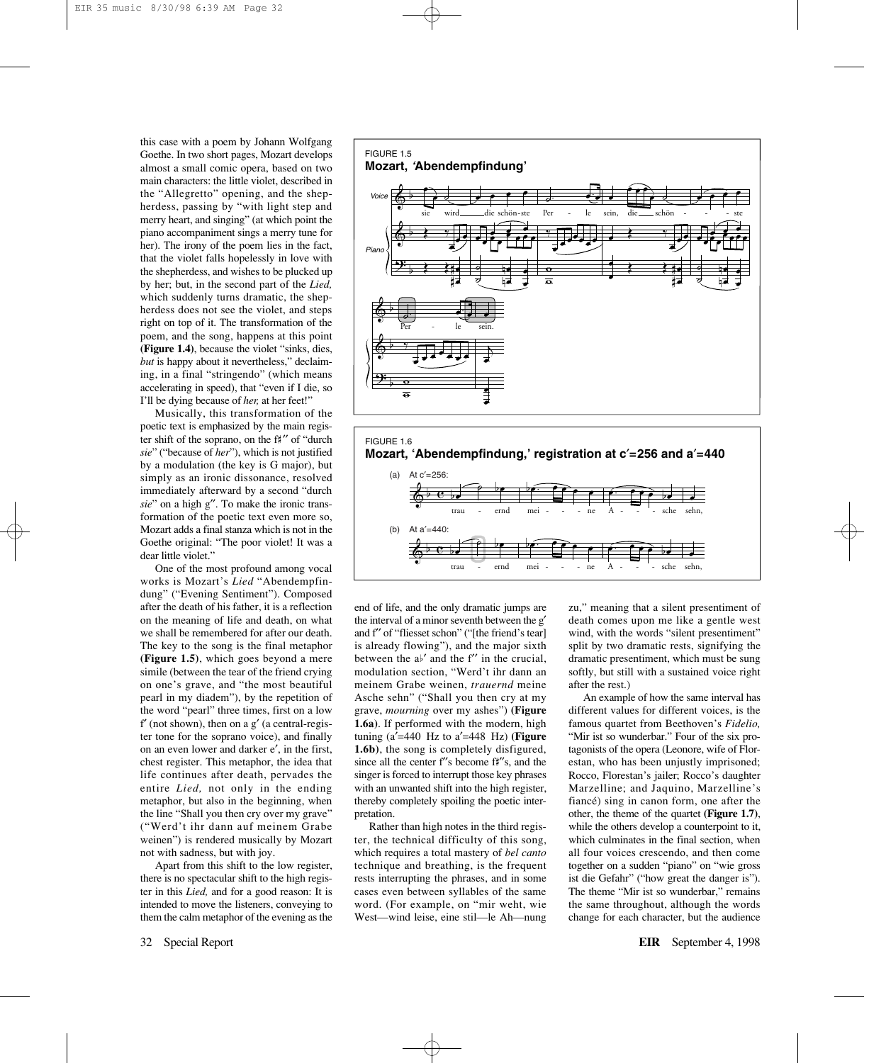this case with a poem by Johann Wolfgang Goethe. In two short pages, Mozart develops almost a small comic opera, based on two main characters: the little violet, described in the "Allegretto" opening, and the shepherdess, passing by "with light step and merry heart, and singing" (at which point the piano accompaniment sings a merry tune for her). The irony of the poem lies in the fact, that the violet falls hopelessly in love with the shepherdess, and wishes to be plucked up by her; but, in the second part of the *Lied,* which suddenly turns dramatic, the shepherdess does not see the violet, and steps right on top of it. The transformation of the poem, and the song, happens at this point **(Figure 1.4)**, because the violet "sinks, dies, *but* is happy about it nevertheless," declaiming, in a final "stringendo" (which means accelerating in speed), that "even if I die, so I'll be dying because of *her,* at her feet!"

Musically, this transformation of the poetic text is emphasized by the main register shift of the soprano, on the  $f\sharp''$  of "durch" *sie*" ("because of *her*"), which is not justified by a modulation (the key is G major), but simply as an ironic dissonance, resolved immediately afterward by a second "durch *sie*" on a high g′′. To make the ironic transformation of the poetic text even more so, Mozart adds a final stanza which is not in the Goethe original: "The poor violet! It was a dear little violet."

One of the most profound among vocal works is Mozart's *Lied* "Abendempfindung" ("Evening Sentiment"). Composed after the death of his father, it is a reflection on the meaning of life and death, on what we shall be remembered for after our death. The key to the song is the final metaphor **(Figure 1.5)**, which goes beyond a mere simile (between the tear of the friend crying on one's grave, and "the most beautiful pearl in my diadem"), by the repetition of the word "pearl" three times, first on a low  $f'$  (not shown), then on a  $g'$  (a central-register tone for the soprano voice), and finally on an even lower and darker e′, in the first, chest register. This metaphor, the idea that life continues after death, pervades the entire *Lied,* not only in the ending metaphor, but also in the beginning, when the line "Shall you then cry over my grave" ("Werd't ihr dann auf meinem Grabe weinen") is rendered musically by Mozart not with sadness, but with joy.

Apart from this shift to the low register, there is no spectacular shift to the high register in this *Lied,* and for a good reason: It is intended to move the listeners, conveying to them the calm metaphor of the evening as the



Rather than high notes in the third register, the technical difficulty of this song, which requires a total mastery of *bel canto* technique and breathing, is the frequent rests interrupting the phrases, and in some cases even between syllables of the same word. (For example, on "mir weht, wie West—wind leise, eine stil—le Ah—nung

end of life, and the only dramatic jumps are the interval of a minor seventh between the g′ and f′′ of "fliesset schon" ("[the friend's tear] is already flowing"), and the major sixth between the  $a^{\beta'}$  and the f'' in the crucial.

zu," meaning that a silent presentiment of death comes upon me like a gentle west wind, with the words "silent presentiment" split by two dramatic rests, signifying the dramatic presentiment, which must be sung softly, but still with a sustained voice right after the rest.)

An example of how the same interval has different values for different voices, is the famous quartet from Beethoven's *Fidelio,* "Mir ist so wunderbar." Four of the six protagonists of the opera (Leonore, wife of Florestan, who has been unjustly imprisoned; Rocco, Florestan's jailer; Rocco's daughter Marzelline; and Jaquino, Marzelline's fiancé) sing in canon form, one after the other, the theme of the quartet **(Figure 1.7)**, while the others develop a counterpoint to it, which culminates in the final section, when all four voices crescendo, and then come together on a sudden "piano" on "wie gross ist die Gefahr" ("how great the danger is"). The theme "Mir ist so wunderbar," remains the same throughout, although the words change for each character, but the audience



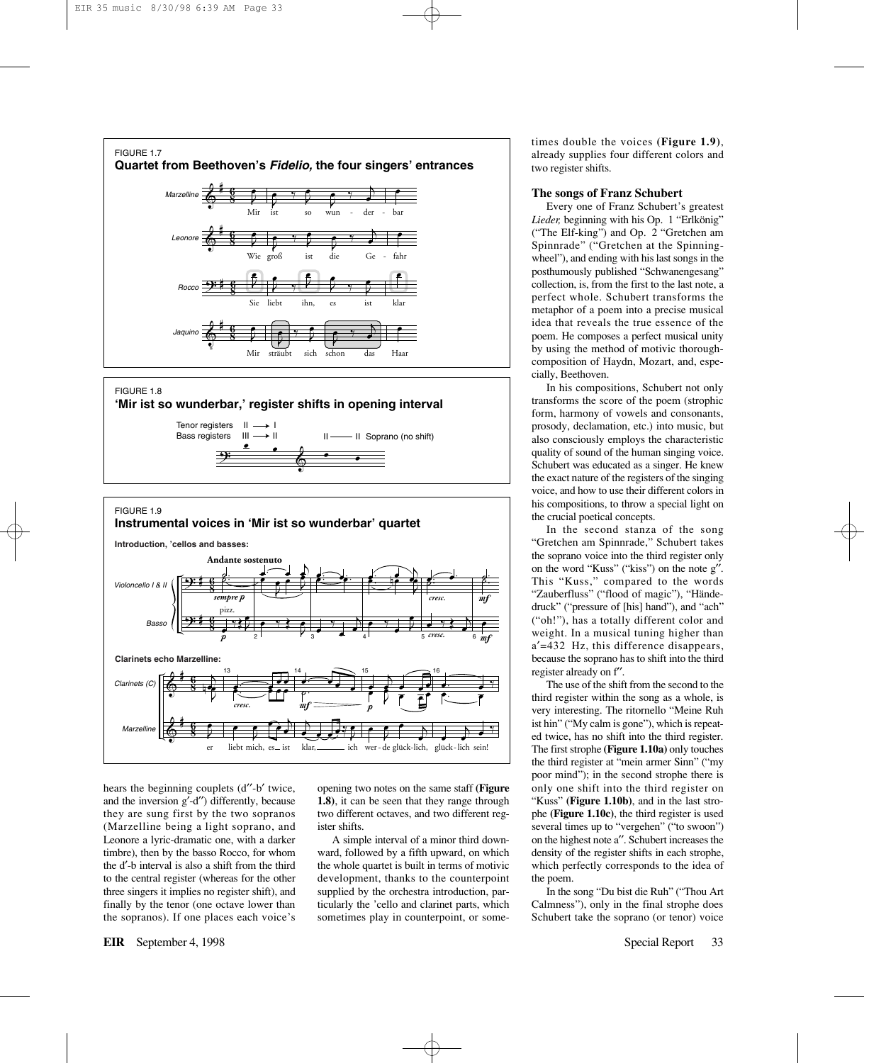

#### $\stackrel{\bullet}{\bullet}$   $\stackrel{\bullet}{\bullet}$   $\stackrel{\bullet}{\bullet}$   $\stackrel{\bullet}{\bullet}$ Tenor registers II Bass registers III I II -- Il Soprano (no shift) FIGURE 1.8 **'Mir ist so wunderbar,' register shifts in opening interval**



hears the beginning couplets (d"-b' twice, and the inversion g′-d′′) differently, because they are sung first by the two sopranos (Marzelline being a light soprano, and Leonore a lyric-dramatic one, with a darker timbre), then by the basso Rocco, for whom the d′-b interval is also a shift from the third to the central register (whereas for the other three singers it implies no register shift), and finally by the tenor (one octave lower than the sopranos). If one places each voice's

opening two notes on the same staff **(Figure 1.8)**, it can be seen that they range through two different octaves, and two different register shifts.

A simple interval of a minor third downward, followed by a fifth upward, on which the whole quartet is built in terms of motivic development, thanks to the counterpoint supplied by the orchestra introduction, particularly the 'cello and clarinet parts, which sometimes play in counterpoint, or sometimes double the voices **(Figure 1.9)**, already supplies four different colors and two register shifts.

### **The songs of Franz Schubert**

Every one of Franz Schubert's greatest *Lieder,* beginning with his Op. 1 "Erlkönig" ("The Elf-king") and Op. 2 "Gretchen am Spinnrade" ("Gretchen at the Spinningwheel"), and ending with his last songs in the posthumously published "Schwanengesang" collection, is, from the first to the last note, a perfect whole. Schubert transforms the metaphor of a poem into a precise musical idea that reveals the true essence of the poem. He composes a perfect musical unity by using the method of motivic thoroughcomposition of Haydn, Mozart, and, especially, Beethoven.

In his compositions, Schubert not only transforms the score of the poem (strophic form, harmony of vowels and consonants, prosody, declamation, etc.) into music, but also consciously employs the characteristic quality of sound of the human singing voice. Schubert was educated as a singer. He knew the exact nature of the registers of the singing voice, and how to use their different colors in his compositions, to throw a special light on the crucial poetical concepts.

In the second stanza of the song "Gretchen am Spinnrade," Schubert takes the soprano voice into the third register only on the word "Kuss" ("kiss") on the note g′′. This "Kuss," compared to the words "Zauberfluss" ("flood of magic"), "Händedruck" ("pressure of [his] hand"), and "ach" ("oh!"), has a totally different color and weight. In a musical tuning higher than a′=432 Hz, this difference disappears, because the soprano has to shift into the third register already on f′′.

The use of the shift from the second to the third register within the song as a whole, is very interesting. The ritornello "Meine Ruh ist hin" ("My calm is gone"), which is repeated twice, has no shift into the third register. The first strophe **(Figure 1.10a)** only touches the third register at "mein armer Sinn" ("my poor mind"); in the second strophe there is only one shift into the third register on "Kuss" **(Figure 1.10b)**, and in the last strophe **(Figure 1.10c)**, the third register is used several times up to "vergehen" ("to swoon") on the highest note a′′. Schubert increases the density of the register shifts in each strophe, which perfectly corresponds to the idea of the poem.

In the song "Du bist die Ruh" ("Thou Art Calmness"), only in the final strophe does Schubert take the soprano (or tenor) voice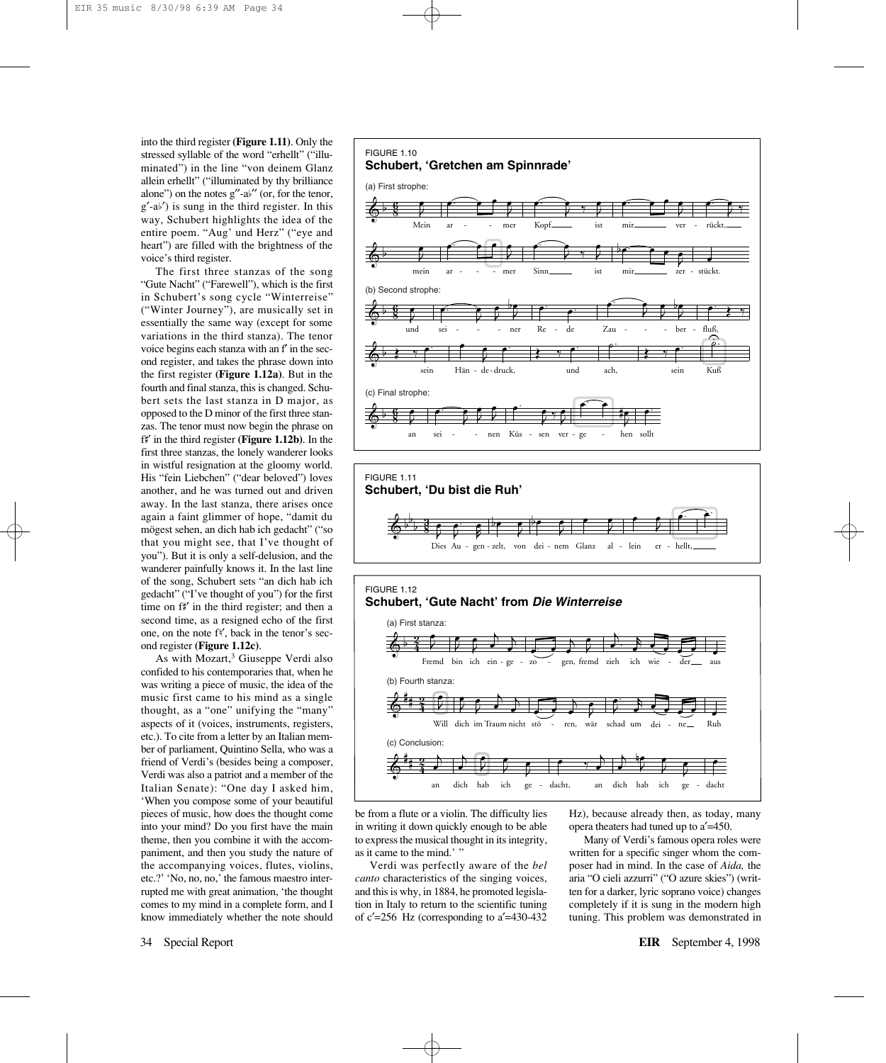into the third register **(Figure 1.11)**. Only the stressed syllable of the word "erhellt" ("illuminated") in the line "von deinem Glanz allein erhellt" ("illuminated by thy brilliance alone") on the notes  $g''-a^{\frac{1}{2}}$  (or, for the tenor,  $g'$ -a $\flat'$ ) is sung in the third register. In this way, Schubert highlights the idea of the entire poem. "Aug' und Herz" ("eye and heart") are filled with the brightness of the voice's third register.

The first three stanzas of the song "Gute Nacht" ("Farewell"), which is the first in Schubert's song cycle "Winterreise" ("Winter Journey"), are musically set in essentially the same way (except for some variations in the third stanza). The tenor voice begins each stanza with an f′ in the second register, and takes the phrase down into the first register **(Figure 1.12a)**. But in the fourth and final stanza, this is changed. Schubert sets the last stanza in D major, as opposed to the D minor of the first three stanzas. The tenor must now begin the phrase on f<sup>\*</sup> in the third register **(Figure 1.12b)**. In the first three stanzas, the lonely wanderer looks in wistful resignation at the gloomy world. His "fein Liebchen" ("dear beloved") loves another, and he was turned out and driven away. In the last stanza, there arises once again a faint glimmer of hope, "damit du mögest sehen, an dich hab ich gedacht" ("so that you might see, that I've thought of you"). But it is only a self-delusion, and the wanderer painfully knows it. In the last line of the song, Schubert sets "an dich hab ich gedacht" ("I've thought of you") for the first time on f#' in the third register; and then a second time, as a resigned echo of the first one, on the note f<sup>{</sup>, back in the tenor's second register **(Figure 1.12c)**.

As with Mozart,<sup>3</sup> Giuseppe Verdi also confided to his contemporaries that, when he was writing a piece of music, the idea of the music first came to his mind as a single thought, as a "one" unifying the "many" aspects of it (voices, instruments, registers, etc.). To cite from a letter by an Italian member of parliament, Quintino Sella, who was a friend of Verdi's (besides being a composer, Verdi was also a patriot and a member of the Italian Senate): "One day I asked him, 'When you compose some of your beautiful pieces of music, how does the thought come into your mind? Do you first have the main theme, then you combine it with the accompaniment, and then you study the nature of the accompanying voices, flutes, violins, etc.?' 'No, no, no,' the famous maestro interrupted me with great animation, 'the thought comes to my mind in a complete form, and I know immediately whether the note should





be from a flute or a violin. The difficulty lies in writing it down quickly enough to be able to express the musical thought in its integrity, as it came to the mind.' "

Verdi was perfectly aware of the *bel canto* characteristics of the singing voices, and this is why, in 1884, he promoted legislation in Italy to return to the scientific tuning of c′=256 Hz (corresponding to a′=430-432 Hz), because already then, as today, many opera theaters had tuned up to a′=450.

Many of Verdi's famous opera roles were written for a specific singer whom the composer had in mind. In the case of *Aida,* the aria "O cieli azzurri" ("O azure skies") (written for a darker, lyric soprano voice) changes completely if it is sung in the modern high tuning. This problem was demonstrated in